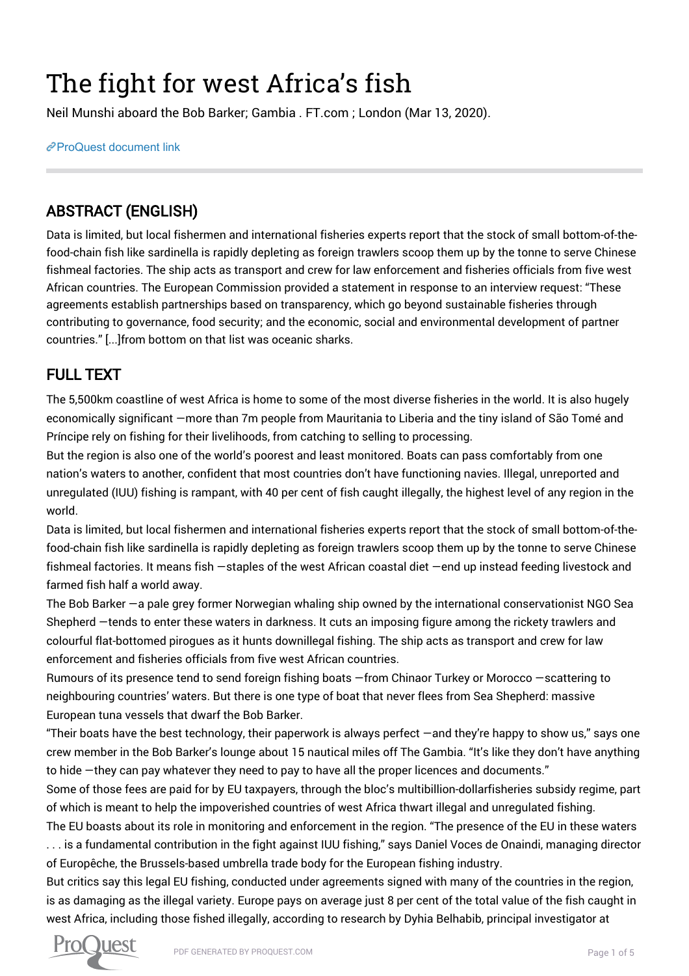# The fight for west Africa's fish

Neil Munshi aboard the Bob Barker; Gambia . FT.com ; London (Mar 13, 2020).

[ProQuest document link](http://132.174.250.227/trade-journals/fight-west-africa-s-fish/docview/2376868807/se-2?accountid=8394)

# ABSTRACT (ENGLISH)

Data is limited, but local fishermen and international fisheries experts report that the stock of small bottom-of-thefood-chain fish like sardinella is rapidly depleting as foreign trawlers scoop them up by the tonne to serve Chinese fishmeal factories. The ship acts as transport and crew for law enforcement and fisheries officials from five west African countries. The European Commission provided a statement in response to an interview request: "These agreements establish partnerships based on transparency, which go beyond sustainable fisheries through contributing to governance, food security; and the economic, social and environmental development of partner countries." [...]from bottom on that list was oceanic sharks.

# FULL TEXT

The 5,500km coastline of west Africa is home to some of the most diverse fisheries in the world. It is also hugely economically significant —more than 7m people from Mauritania to Liberia and the tiny island of São Tomé and Príncipe rely on fishing for their livelihoods, from catching to selling to processing.

But the region is also one of the world's poorest and least monitored. Boats can pass comfortably from one nation's waters to another, confident that most countries don't have functioning navies. Illegal, unreported and unregulated (IUU) fishing is rampant, with 40 per cent of fish caught illegally, the highest level of any region in the world.

Data is limited, but local fishermen and international fisheries experts report that the stock of small bottom-of-thefood-chain fish like sardinella is rapidly depleting as foreign trawlers scoop them up by the tonne to serve Chinese fishmeal factories. It means fish —staples of the west African coastal diet —end up instead feeding livestock and farmed fish half a world away.

The Bob Barker —a pale grey former Norwegian whaling ship owned by the international conservationist NGO Sea Shepherd —tends to enter these waters in darkness. It cuts an imposing figure among the rickety trawlers and colourful flat-bottomed pirogues as it hunts downillegal fishing. The ship acts as transport and crew for law enforcement and fisheries officials from five west African countries.

Rumours of its presence tend to send foreign fishing boats —from Chinaor Turkey or Morocco —scattering to neighbouring countries' waters. But there is one type of boat that never flees from Sea Shepherd: massive European tuna vessels that dwarf the Bob Barker.

"Their boats have the best technology, their paperwork is always perfect —and they're happy to show us," says one crew member in the Bob Barker's lounge about 15 nautical miles off The Gambia. "It's like they don't have anything to hide —they can pay whatever they need to pay to have all the proper licences and documents."

Some of those fees are paid for by EU taxpayers, through the bloc's multibillion-dollarfisheries subsidy regime, part of which is meant to help the impoverished countries of west Africa thwart illegal and unregulated fishing.

The EU boasts about its role in monitoring and enforcement in the region. "The presence of the EU in these waters . . . is a fundamental contribution in the fight against IUU fishing," says Daniel Voces de Onaindi, managing director of Europêche, the Brussels-based umbrella trade body for the European fishing industry.

But critics say this legal EU fishing, conducted under agreements signed with many of the countries in the region, is as damaging as the illegal variety. Europe pays on average just 8 per cent of the total value of the fish caught in west Africa, including those fished illegally, according to research by Dyhia Belhabib, principal investigator at

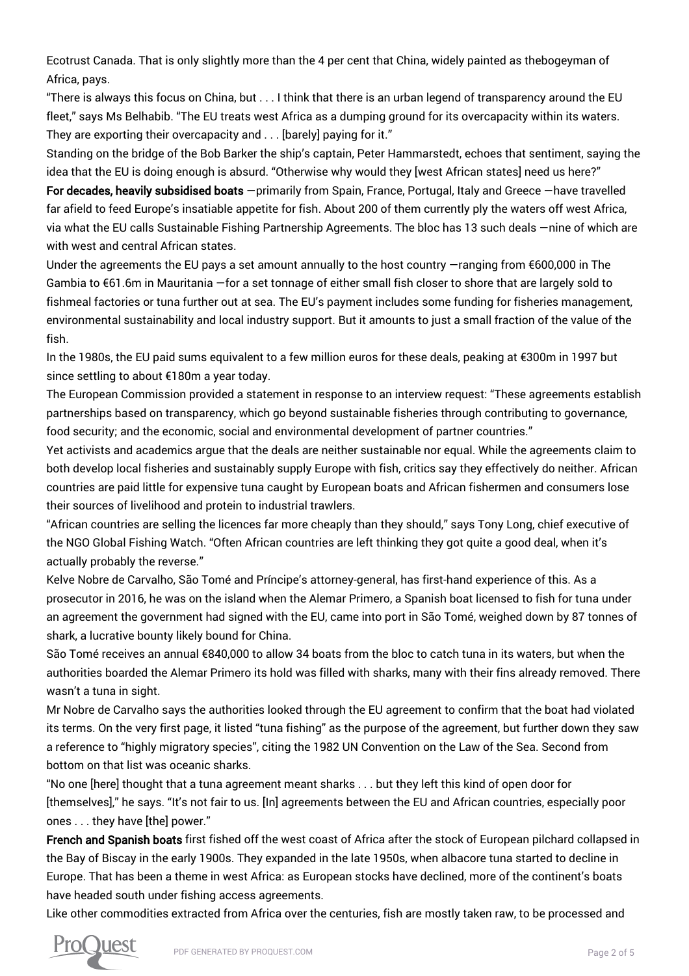Ecotrust Canada. That is only slightly more than the 4 per cent that China, widely painted as thebogeyman of Africa, pays.

"There is always this focus on China, but . . . I think that there is an urban legend of transparency around the EU fleet," says Ms Belhabib. "The EU treats west Africa as a dumping ground for its overcapacity within its waters. They are exporting their overcapacity and . . . [barely] paying for it."

Standing on the bridge of the Bob Barker the ship's captain, Peter Hammarstedt, echoes that sentiment, saying the idea that the EU is doing enough is absurd. "Otherwise why would they [west African states] need us here?"

For decades, heavily subsidised boats —primarily from Spain, France, Portugal, Italy and Greece —have travelled far afield to feed Europe's insatiable appetite for fish. About 200 of them currently ply the waters off west Africa, via what the EU calls Sustainable Fishing Partnership Agreements. The bloc has 13 such deals —nine of which are with west and central African states.

Under the agreements the EU pays a set amount annually to the host country —ranging from €600,000 in The Gambia to €61.6m in Mauritania —for a set tonnage of either small fish closer to shore that are largely sold to fishmeal factories or tuna further out at sea. The EU's payment includes some funding for fisheries management, environmental sustainability and local industry support. But it amounts to just a small fraction of the value of the fish.

In the 1980s, the EU paid sums equivalent to a few million euros for these deals, peaking at €300m in 1997 but since settling to about €180m a year today.

The European Commission provided a statement in response to an interview request: "These agreements establish partnerships based on transparency, which go beyond sustainable fisheries through contributing to governance, food security; and the economic, social and environmental development of partner countries."

Yet activists and academics argue that the deals are neither sustainable nor equal. While the agreements claim to both develop local fisheries and sustainably supply Europe with fish, critics say they effectively do neither. African countries are paid little for expensive tuna caught by European boats and African fishermen and consumers lose their sources of livelihood and protein to industrial trawlers.

"African countries are selling the licences far more cheaply than they should," says Tony Long, chief executive of the NGO Global Fishing Watch. "Often African countries are left thinking they got quite a good deal, when it's actually probably the reverse."

Kelve Nobre de Carvalho, São Tomé and Príncipe's attorney-general, has first-hand experience of this. As a prosecutor in 2016, he was on the island when the Alemar Primero, a Spanish boat licensed to fish for tuna under an agreement the government had signed with the EU, came into port in São Tomé, weighed down by 87 tonnes of shark, a lucrative bounty likely bound for China.

São Tomé receives an annual €840,000 to allow 34 boats from the bloc to catch tuna in its waters, but when the authorities boarded the Alemar Primero its hold was filled with sharks, many with their fins already removed. There wasn't a tuna in sight.

Mr Nobre de Carvalho says the authorities looked through the EU agreement to confirm that the boat had violated its terms. On the very first page, it listed "tuna fishing" as the purpose of the agreement, but further down they saw a reference to "highly migratory species", citing the 1982 UN Convention on the Law of the Sea. Second from bottom on that list was oceanic sharks.

"No one [here] thought that a tuna agreement meant sharks . . . but they left this kind of open door for [themselves]," he says. "It's not fair to us. [In] agreements between the EU and African countries, especially poor ones . . . they have [the] power."

French and Spanish boats first fished off the west coast of Africa after the stock of European pilchard collapsed in the Bay of Biscay in the early 1900s. They expanded in the late 1950s, when albacore tuna started to decline in Europe. That has been a theme in west Africa: as European stocks have declined, more of the continent's boats have headed south under fishing access agreements.

Like other commodities extracted from Africa over the centuries, fish are mostly taken raw, to be processed and

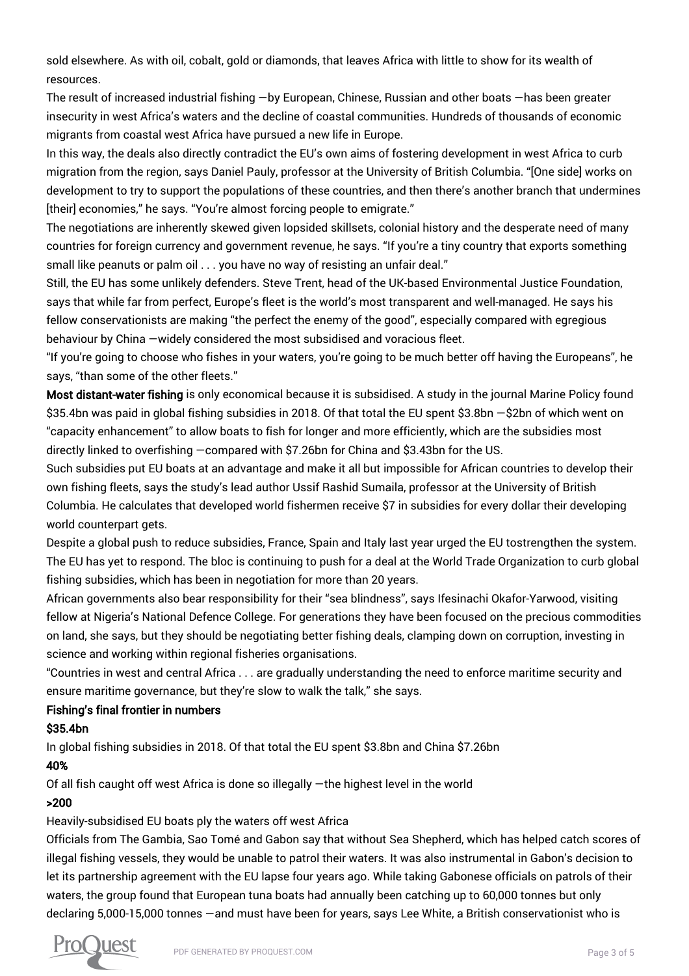sold elsewhere. As with oil, cobalt, gold or diamonds, that leaves Africa with little to show for its wealth of resources.

The result of increased industrial fishing —by European, Chinese, Russian and other boats —has been greater insecurity in west Africa's waters and the decline of coastal communities. Hundreds of thousands of economic migrants from coastal west Africa have pursued a new life in Europe.

In this way, the deals also directly contradict the EU's own aims of fostering development in west Africa to curb migration from the region, says Daniel Pauly, professor at the University of British Columbia. "[One side] works on development to try to support the populations of these countries, and then there's another branch that undermines [their] economies," he says. "You're almost forcing people to emigrate."

The negotiations are inherently skewed given lopsided skillsets, colonial history and the desperate need of many countries for foreign currency and government revenue, he says. "If you're a tiny country that exports something small like peanuts or palm oil . . . you have no way of resisting an unfair deal."

Still, the EU has some unlikely defenders. Steve Trent, head of the UK-based Environmental Justice Foundation, says that while far from perfect, Europe's fleet is the world's most transparent and well-managed. He says his fellow conservationists are making "the perfect the enemy of the good", especially compared with egregious behaviour by China —widely considered the most subsidised and voracious fleet.

"If you're going to choose who fishes in your waters, you're going to be much better off having the Europeans", he says, "than some of the other fleets."

Most distant-water fishing is only economical because it is subsidised. A study in the journal Marine Policy found \$35.4bn was paid in global fishing subsidies in 2018. Of that total the EU spent \$3.8bn -\$2bn of which went on "capacity enhancement" to allow boats to fish for longer and more efficiently, which are the subsidies most directly linked to overfishing —compared with \$7.26bn for China and \$3.43bn for the US.

Such subsidies put EU boats at an advantage and make it all but impossible for African countries to develop their own fishing fleets, says the study's lead author Ussif Rashid Sumaila, professor at the University of British Columbia. He calculates that developed world fishermen receive \$7 in subsidies for every dollar their developing world counterpart gets.

Despite a global push to reduce subsidies, France, Spain and Italy last year urged the EU tostrengthen the system. The EU has yet to respond. The bloc is continuing to push for a deal at the World Trade Organization to curb global fishing subsidies, which has been in negotiation for more than 20 years.

African governments also bear responsibility for their "sea blindness", says Ifesinachi Okafor-Yarwood, visiting fellow at Nigeria's National Defence College. For generations they have been focused on the precious commodities on land, she says, but they should be negotiating better fishing deals, clamping down on corruption, investing in science and working within regional fisheries organisations.

"Countries in west and central Africa . . . are gradually understanding the need to enforce maritime security and ensure maritime governance, but they're slow to walk the talk," she says.

## Fishing's final frontier in numbers

## \$35.4bn

In global fishing subsidies in 2018. Of that total the EU spent \$3.8bn and China \$7.26bn

#### 40%

Of all fish caught off west Africa is done so illegally —the highest level in the world

## >200

## Heavily-subsidised EU boats ply the waters off west Africa

Officials from The Gambia, Sao Tomé and Gabon say that without Sea Shepherd, which has helped catch scores of illegal fishing vessels, they would be unable to patrol their waters. It was also instrumental in Gabon's decision to let its partnership agreement with the EU lapse four years ago. While taking Gabonese officials on patrols of their waters, the group found that European tuna boats had annually been catching up to 60,000 tonnes but only declaring 5,000-15,000 tonnes —and must have been for years, says Lee White, a British conservationist who is

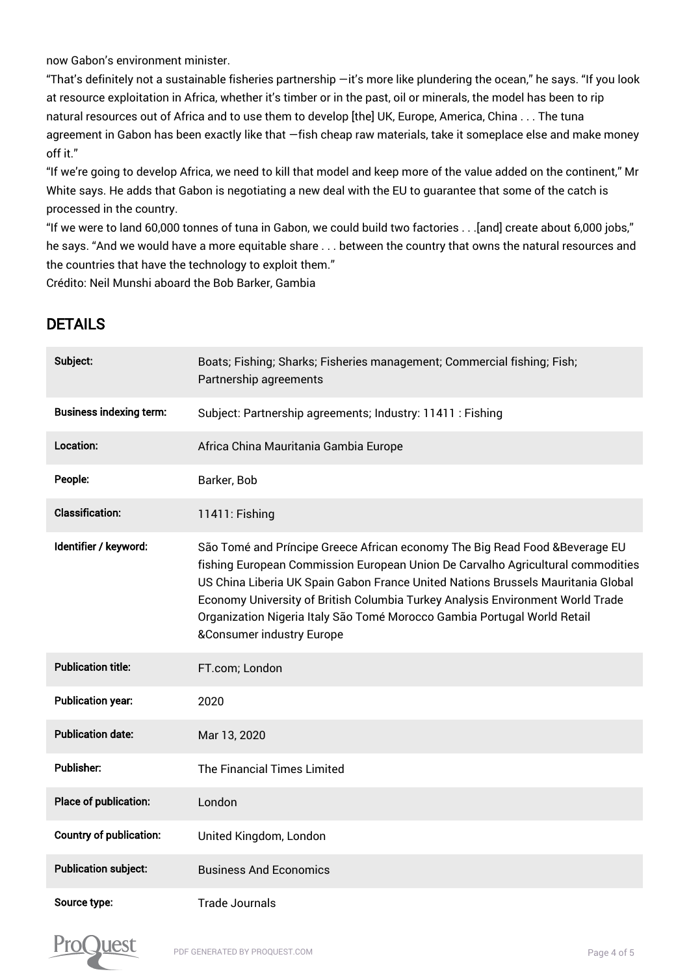now Gabon's environment minister.

"That's definitely not a sustainable fisheries partnership —it's more like plundering the ocean," he says. "If you look at resource exploitation in Africa, whether it's timber or in the past, oil or minerals, the model has been to rip natural resources out of Africa and to use them to develop [the] UK, Europe, America, China . . . The tuna agreement in Gabon has been exactly like that —fish cheap raw materials, take it someplace else and make money off it."

"If we're going to develop Africa, we need to kill that model and keep more of the value added on the continent," Mr White says. He adds that Gabon is negotiating a new deal with the EU to guarantee that some of the catch is processed in the country.

"If we were to land 60,000 tonnes of tuna in Gabon, we could build two factories . . .[and] create about 6,000 jobs," he says. "And we would have a more equitable share . . . between the country that owns the natural resources and the countries that have the technology to exploit them."

Crédito: Neil Munshi aboard the Bob Barker, Gambia

# DETAILS

| Subject:                       | Boats; Fishing; Sharks; Fisheries management; Commercial fishing; Fish;<br>Partnership agreements                                                                                                                                                                                                                                                                                                                                                         |
|--------------------------------|-----------------------------------------------------------------------------------------------------------------------------------------------------------------------------------------------------------------------------------------------------------------------------------------------------------------------------------------------------------------------------------------------------------------------------------------------------------|
| <b>Business indexing term:</b> | Subject: Partnership agreements; Industry: 11411 : Fishing                                                                                                                                                                                                                                                                                                                                                                                                |
| Location:                      | Africa China Mauritania Gambia Europe                                                                                                                                                                                                                                                                                                                                                                                                                     |
| People:                        | Barker, Bob                                                                                                                                                                                                                                                                                                                                                                                                                                               |
| <b>Classification:</b>         | 11411: Fishing                                                                                                                                                                                                                                                                                                                                                                                                                                            |
| Identifier / keyword:          | São Tomé and Príncipe Greece African economy The Big Read Food & Beverage EU<br>fishing European Commission European Union De Carvalho Agricultural commodities<br>US China Liberia UK Spain Gabon France United Nations Brussels Mauritania Global<br>Economy University of British Columbia Turkey Analysis Environment World Trade<br>Organization Nigeria Italy São Tomé Morocco Gambia Portugal World Retail<br><b>&amp;Consumer industry Europe</b> |
| <b>Publication title:</b>      | FT.com; London                                                                                                                                                                                                                                                                                                                                                                                                                                            |
| <b>Publication year:</b>       | 2020                                                                                                                                                                                                                                                                                                                                                                                                                                                      |
| <b>Publication date:</b>       | Mar 13, 2020                                                                                                                                                                                                                                                                                                                                                                                                                                              |
| <b>Publisher:</b>              | The Financial Times Limited                                                                                                                                                                                                                                                                                                                                                                                                                               |
| Place of publication:          | London                                                                                                                                                                                                                                                                                                                                                                                                                                                    |
| <b>Country of publication:</b> | United Kingdom, London                                                                                                                                                                                                                                                                                                                                                                                                                                    |
| <b>Publication subject:</b>    | <b>Business And Economics</b>                                                                                                                                                                                                                                                                                                                                                                                                                             |
| Source type:                   | <b>Trade Journals</b>                                                                                                                                                                                                                                                                                                                                                                                                                                     |